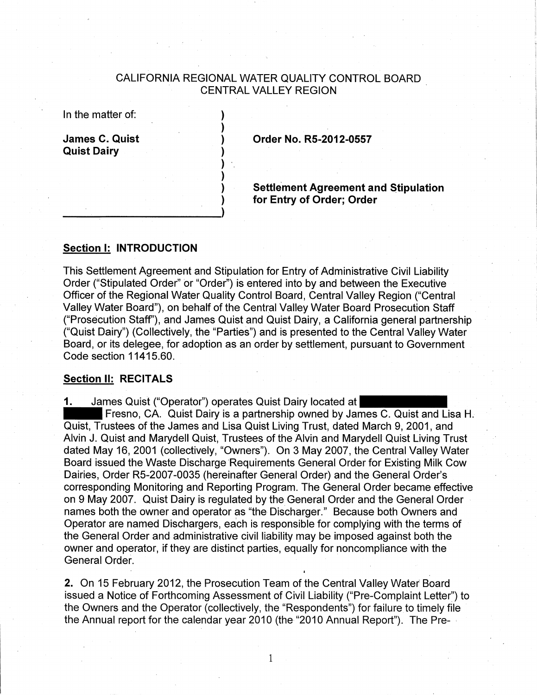## CALIFORNIA REGIONAL WATER QUALITY CONTROL BOARD CENTRAL VALLEY REGION

) ) ) ) ) ) ) )

| In the matter of:                           |  |
|---------------------------------------------|--|
| <b>James C. Quist</b><br><b>Quist Dairy</b> |  |

**Order No. R5-2012-0557** 

**Settlement Agreement and Stipulation for Entry of Order; Order** 

## **Section 1: INTRODUCTION**

--~~------------->

This Settlement Agreement and Stipulation for Entry of Administrative Civil Liability Order ("Stipulated Order" or "Order") is entered into by and between the Executive Officer of the Regional Water Quality Control Board, Central Valley Region ("Central Valley Water Board"), on behalf of the Central Valley Water Board Prosecution Staff ("Prosecution Staff'), and James Quist and Quist Dairy, a California general partnership ("Quist Dairy") (Collectively, the "Parties") and is presented to the Central Valley Water Board, or its delegee, for adoption as an order by settlement, pursuant to Government Code section 11415.60.

## **Section II: RECITALS**

**1.** James Quist ("Operator") operates Quist Dairy located at

- Fresno, CA. Quist Dairy is a partnership owned by James C. Quist and Lisa **H.**  Quist, Trustees of the James and Lisa Quist Living Trust, dated March 9, 2001, and Alvin J. Quist and Marydell Quist, Trustees of the Alvin and Marydell Quist Living Trust dated May 16, 2001 (collectively, "Owners"). On 3 May 2007, the Central Valley Water Board issued the Waste Discharge 'Requirements General Order for Existing Milk Cow Dairies, Order R5-2007 -0035 (hereinafter General Order) and the General Order's corresponding Monitoring and Reporting Program. The General Order became effective on 9 May 2007. Quist Dairy is regulated by the General Order and the General Order names both the owner and operator as "the Discharger." Because both Owners and Operator are named Dischargers, each is responsible for complying with the terms of the General Order and administrative civil liability may be imposed against both the owner and operator, if they are distinct parties, equally for noncompliance with the General Order.

**2.** On 15 February 2012, the Prosecution Team of the Central Valley Water Board issued a Notice of Forthcoming Assessment of Civil Liability ("Pre-Complaint Letter") to the Owners and the Operator (collectively, the "Respondents") for failure to timely file the Annual report for the calendar year 2010 (the "2010 Annual Report"). The Pre-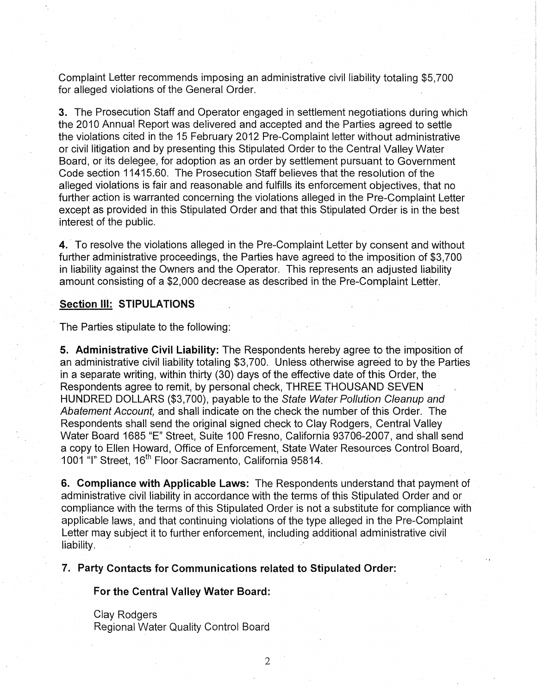Complaint Letter recommends imposing an administrative civil liability totaling \$5,700 for alleged violations of the General Order.

**3.** The Prosecution Staff and Operator engaged in settlement negotiations during which the 2010 Annual Report was delivered and accepted and the Parties agreed to settle the violations cited in the 15 February 2012 Pre-Complaint letter without administrative or civil litigation and by presenting this Stipulated Order to the Central Valley Water Board, or its delegee, for adoption as an order by settlement pursuant to Government Code section 11415.60. The Prosecution Staff believes that the resolution of the alleged violations is fair and reasonable and fulfills its enforcement objectives, that no further action is warranted concerning the violations alleged in the Pre-Complaint Letter except as provided in this Stipulated Order and that this Stipulated Order is in the best interest of the public.

**4.** To resolve the violations alleged in the Pre-Complaint Letter by consent and without further administrative proceedings, the Parties have agreed to' the imposition of \$3,700 in liability against the Owners and the Operator. This represents an adjusted liability amount consisting of a \$2,000 decrease as described in the Pre-Complaint Letter.

#### **Section Ill: STIPULATIONS**

The Parties stipulate to the following:

**5. Administrative Civil Liability:** The Respondents hereby agree to the imposition of an administrative civil liability totaling \$3,700. Unless otherwise agreed to by the Parties in a separate writing, within thirty (30) days of the effective date of this Order, the Respondents agree to remit, by personal check, THREE THOUSAND SEVEN HUNDRED DOLLARS (\$3,700), payable to the State Water Pollution Cleanup and Abatement Account, and shall indicate on the check the number of this Order. The Respondents shall send the original signed check to Clay Rodgers, Central Valley Water Board 1685 "E" Street, Suite 100 Fresno, California 93706-2007, and shall send a copy to Ellen Howard, Office of Enforcement, State Water Resources Control Board, 1001 "I" Street, 16<sup>th</sup> Floor Sacramento, California 95814.

**6. Compliance with Applicable Laws:** The Respondents understand that payment of administrative civil liability in accordance with the terms of this Stipulated Order and or compliance with the terms of this Stipulated Order is not a substitute for compliance with applicable laws, and that continuing violations of the type alleged in the Pre~Complaint Letter may subject it to further enforcement, including additional administrative civil liability.

**7. Party Contacts for Communications related to Stipulated Order:** 

**For the Central Valley Water Board:** 

Clay Rodgers Regional Water Quality Control Board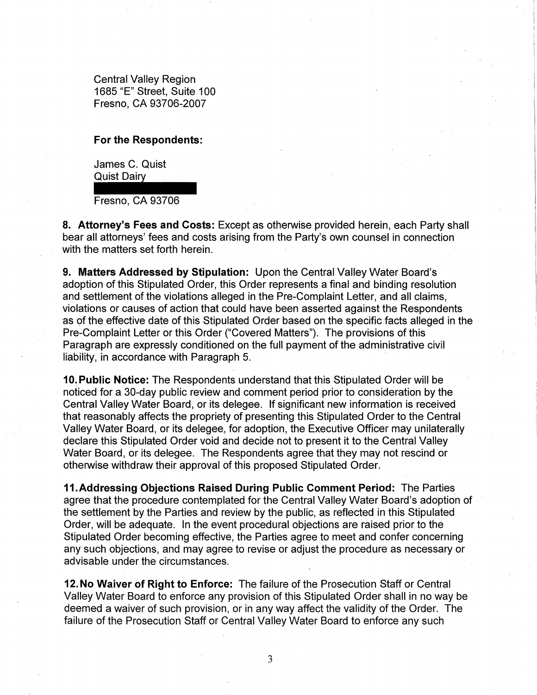Central Valley Region 1685 "E" Street, Suite 100 Fresno, CA 93706-2007

#### **For the Respondents:**

For the Respondents:<br>James C. Quist<br>Quist Dairy<br>Fresno, CA 93706 James C. Quist

Fresno, CA 93706

**8. Attorney's Fees and Costs:** Except as otherwise provided herein, each Party shall bear all attorneys' fees and costs arising from the Party's own counsel in connection with the matters set forth herein.

**9. Matters Addressed by Stipulation:** Upon the Central Valley Water Board's adoption of this Stipulated Order, this Order represents a final and binding resolution and settlement of the violations alleged in the Pre-Complaint Letter, and all claims, violations or causes of action that could have been asserted against the Respondents as of the effective date of this Stipulated Order based on the specific facts alleged in the Pre-Complaint Letter or this Order ("Covered Matters"). The provisions of this Paragraph are expressly conditioned on the full payment of the administrative civil liability, in accordance with Paragraph 5.

**10. Public Notice:** The Respondents understand that this Stipulated Order will be noticed for a 30-day public review and comment period prior to consideration by the Central Valley Water Board, or its delegee. If significant new information is received that reasonably affects the propriety of presenting this Stipulated Order to the Central Valley Water Board, or its delegee., for adoption, the Executive Officer may unilaterally declare this Stipulated Order void and decide not to present it to the Central Valley Water Board, or its delegee. The Respondents agree that they may not rescind or otherwise withdraw their approval of this proposed Stipulated Order.

**11.Addressing Objections Raised During Public Comment Period:** The Parties agree that the procedure contemplated for the Central Valley Water Board's adoption of the settlement by the Parties and review by the public, as reflected in this Stipulated Order, will be adequate. In the event procedural objections are raised prior to the Stipulated Order becoming effective, the Parties agree to meet and confer concerning any such objections, and may agree to revise or adjust the procedure as necessary or advisable under the circumstances.

**12. No Waiver of Right to Enforce:** The failure of the Prosecution Staff or Central Valley Water Board to enforce any provision of this Stipulated Order shall in no way be deemed a waiver of such provision, or in any way affect the validity of the Order. The failure of the Prosecution Staff or Central Valley Water Board to enforce any such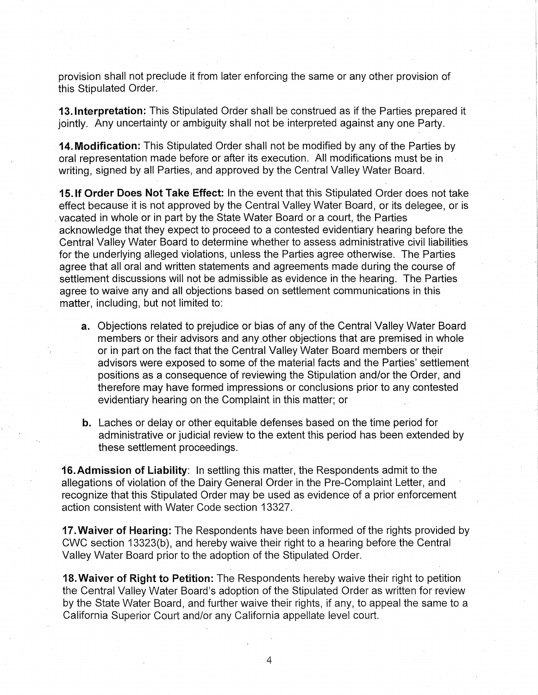provision shall not preclude it from later enforcing the same or any other provision of this Stipulated Order.

**13.1nterpretation:** This Stipulated Order shall be construed as if the Parties prepared it jointly. Any uncertainty or ambiguity shall not be interpreted against any one Party.

**14. Modification:** This Stipulated Order shall not be modified by any of the Parties by oral representation made before or after its execution. All modifications must be in writing, signed by all Parties, and approved by the Central Valley Water Board.

**15.1f Order Does Not Take Effect:** In the event that this Stipulated Order does not take effect because it is not approved by the Central Valley Water Board, or its delegee, or is . vacated in whole or in part by the State Water Board or a court, the Parties acknowledge that they expect to proceed to a contested evidentiary hearing before the Central Valley Water Board to determine whether to assess administrative civil liabilities for the underlying alleged violations, unless the Parties agree otherwise. The Parties agree that all oral and written statements and agreements made during the course of settlement discussions will not be admissible as evidence in the hearing. The Parties agree to waive any and all objections based on settlement communications in this matter, including, but not limited to:

- **a.** Objections related to prejudice or bias of any of the Central Valley Water Board members or their advisors and any other objections that are premised in whole or in part on the fact that the Central Valley Water Board members or their advisors were exposed to some of the material facts and the Parties' settlement positions as a consequence of reviewing the Stipulation and/or the Order, and therefore may have formed impressions or conclusions prior to any contested evidentiary hearing on the Complaint in this matter; or
- **b.** Laches or delay or other equitable defenses based on the time period for administrative or judicial review to the extent this period has been extended by these settlement proceedings.

**16. Admission of Liability:** In settling this matter, the Respondents admit to the allegations of violation of the Dairy General Order in the Pre-Complaint Letter, and recognize that this Stipulated Order may be used as evidence' of a prior enforcement action consistent with Water Code section 13327.

**17. Waiver of Hearing:** The Respondents have been informed of the rights provided by CWC section 13323(b), and hereby waive their right to a hearing before the Central Valley Water Board prior to the adoption of the Stipulated Order.

**18. Waiver of Right to Petition:** The Respondents hereby waive their right to petition the Central Valley Water Board's adoption of the Stipulated Order as written for review by the State Water Board, and further waive their rights, if any, to appeal the same to a California Superior Court and/or any California appellate level court.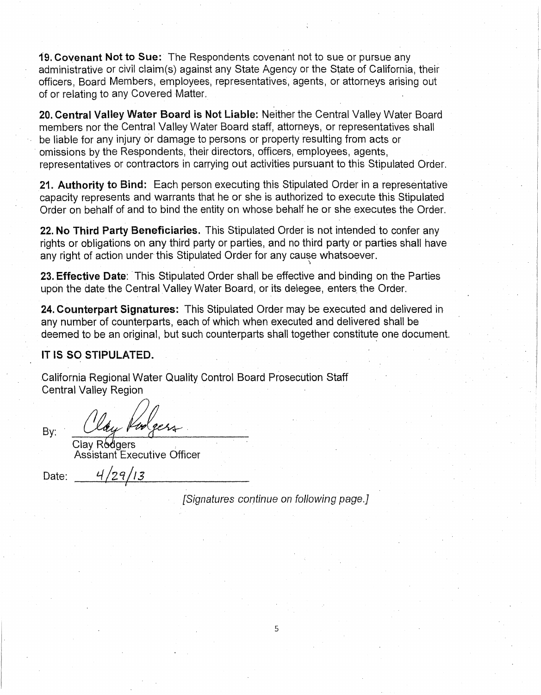19. Covenant Not to Sue: The Respondents covenant not to sue or pursue any administrative or civil claim(s) against any State Agency or the State of California, their officers, Board Members, employees, representatives, agents, or attorneys arising out of or relating to any Covered Matter.

20. Central Valley Water Board is Not Liable: Neither the Central Valley Water Board members nor the Central Valley Water Board staff, attorneys, or representatives shall be liable for any injury or damage to persons or property resulting from acts or · omissions by the Respondents, their directors, officers, employees, agents, representatives or contractors in carrying out activities pursuant to this Stipulated Order.

21. Authority to Bind: Each person executing this Stipulated Order in a representative capacity represents and warrants that he or she is authorized to execute this Stipulated Order on behalf of and to bind the entity on whose behalf he or she executes the Order.

22. No Third Party Beneficiaries. This Stipulated Order is not intended to confer any rights or obligations on any third party or parties, and no third party or parties shall have any right of action under this Stipulated Order for any cause whatsoever.

23. Effective Date: This Stipulated Order shall be effective and binding on the Parties upon the date the Central Valley Water Board, or its delegee, enters the Order.

24. Counterpart Signatures: This Stipulated Order may be executed and delivered in any number of counterparts, each of which when executed and delivered shall be deemed to be an original, but such counterparts shall together constitute one document.

# IT IS SO STIPULATED.

California Regional Water Quality Control Board Prosecution Staff Central Valley Region

 $By:$  Clay Rodgers Assistant Executive Officer

Date:  $4/29/13$ I

[Signatures continue on following page.]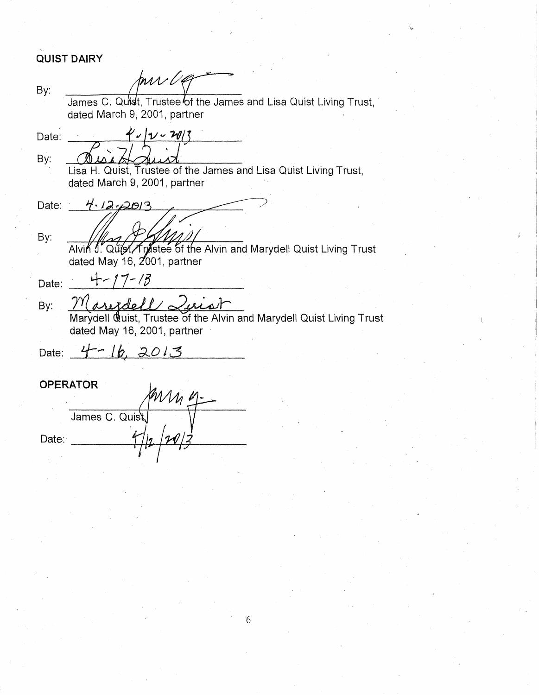# **QUIST DAIRY**

mr Va By: James C. Quist, Trustee of the James and Lisa Quist Living Trust, dated March 9, 2001, partner  $4^{\prime}$   $\sqrt{2}$   $\sqrt{3}$ Date: By: Lisa H. Quist, Trustee of the James and Lisa Quist Living Trust, dated March 9, 2001, partner Date:  $4.12.2013$ By: Alvin J. Quist / Trastee of the Alvin and Marydell Quist Living Trust<br>dated May 16, 2001, partner  $4 - 17 - 18$ Date: Maredell Luist By: Marydell Quist, Trustee of the Alvin and Marydell Quist Living Trust dated May 16, 2001, partner Date:  $4 - 16$ , 2013 **OPERATOR** mm 4 James C. Quist Date: